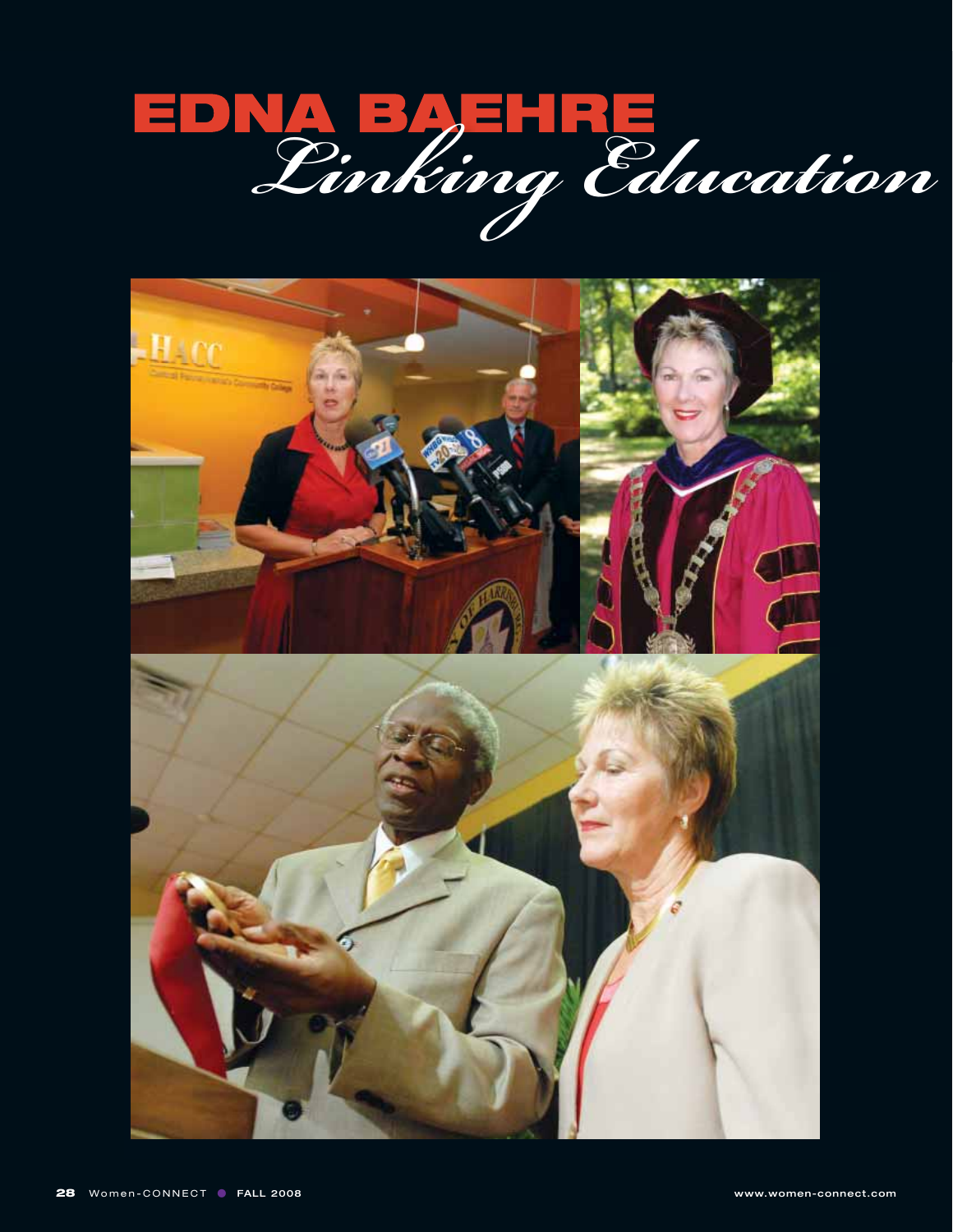

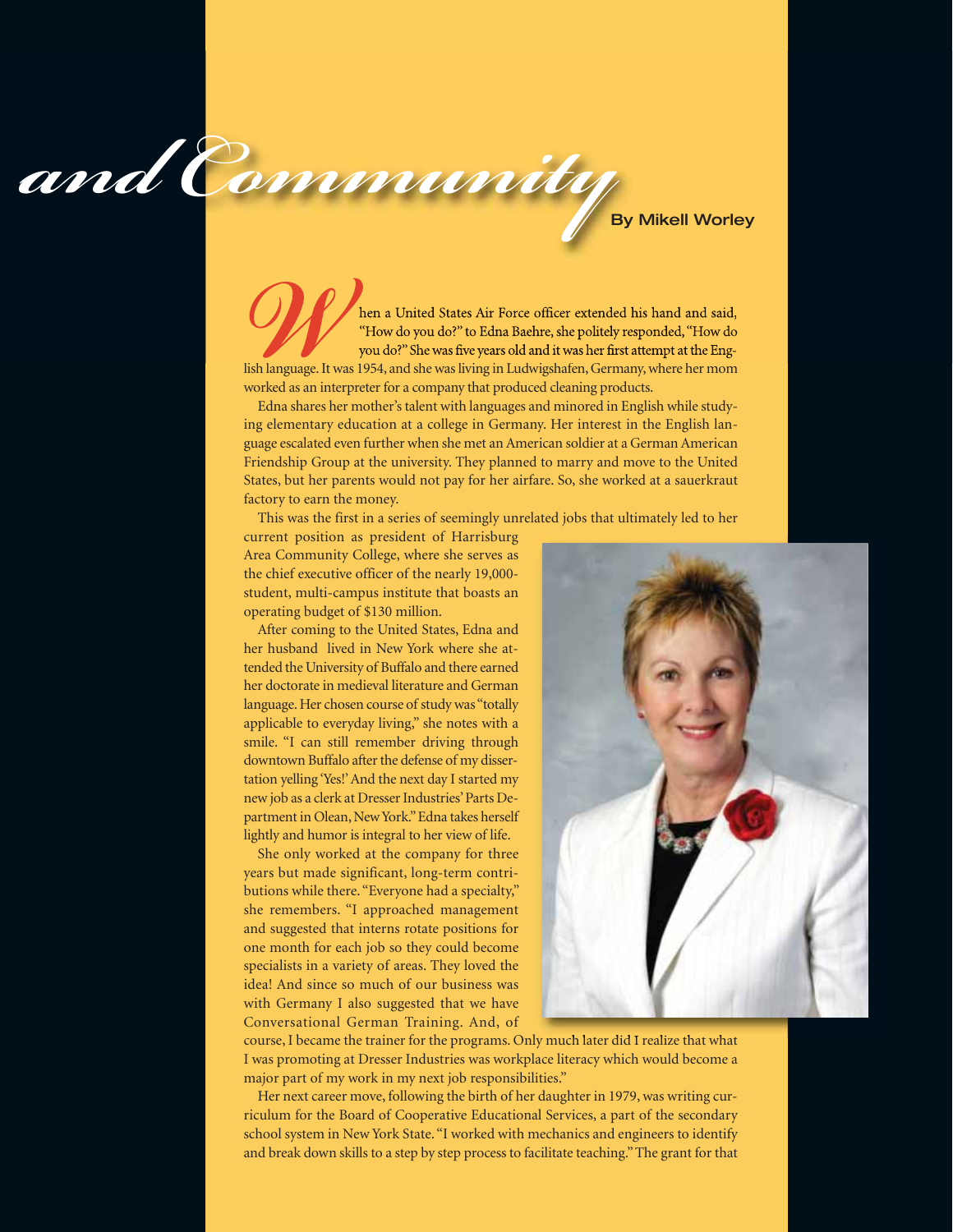and Community

**Example 19 hen a United States Air Force officer extended his hand and said,** "How do you do?" to Edna Baehre, she politely responded, "How do you do?" She was five years old and it was her first attempt at the English la "How do you do?" to Edna Baehre, she politely responded, "How do you do?" She was five years old and it was her first attempt at the English language. It was 1954, and she was living in Ludwigshafen, Germany, where her mom worked as an interpreter for a company that produced cleaning products.

Edna shares her mother's talent with languages and minored in English while studying elementary education at a college in Germany. Her interest in the English language escalated even further when she met an American soldier at a German American Friendship Group at the university. They planned to marry and move to the United States, but her parents would not pay for her airfare. So, she worked at a sauerkraut factory to earn the money.

This was the first in a series of seemingly unrelated jobs that ultimately led to her

current position as president of Harrisburg Area Community College, where she serves as the chief executive officer of the nearly 19,000 student, multi-campus institute that boasts an operating budget of \$130 million.

After coming to the United States, Edna and her husband lived in New York where she attended the University of Buffalo and there earned her doctorate in medieval literature and German language. Her chosen course of study was "totally applicable to everyday living," she notes with a smile. "I can still remember driving through downtown Buffalo after the defense of my dissertation yelling 'Yes!' And the next day I started my new job as a clerk at Dresser Industries' Parts Department in Olean, New York." Edna takes herself lightly and humor is integral to her view of life.

She only worked at the company for three years but made significant, long-term contributions while there. "Everyone had a specialty," she remembers. "I approached management and suggested that interns rotate positions for one month for each job so they could become specialists in a variety of areas. They loved the idea! And since so much of our business was with Germany I also suggested that we have Conversational German Training. And, of



course, I became the trainer for the programs. Only much later did I realize that what I was promoting at Dresser Industries was workplace literacy which would become a major part of my work in my next job responsibilities."

Her next career move, following the birth of her daughter in 1979, was writing curriculum for the Board of Cooperative Educational Services, a part of the secondary school system in New York State. "I worked with mechanics and engineers to identify and break down skills to a step by step process to facilitate teaching." The grant for that